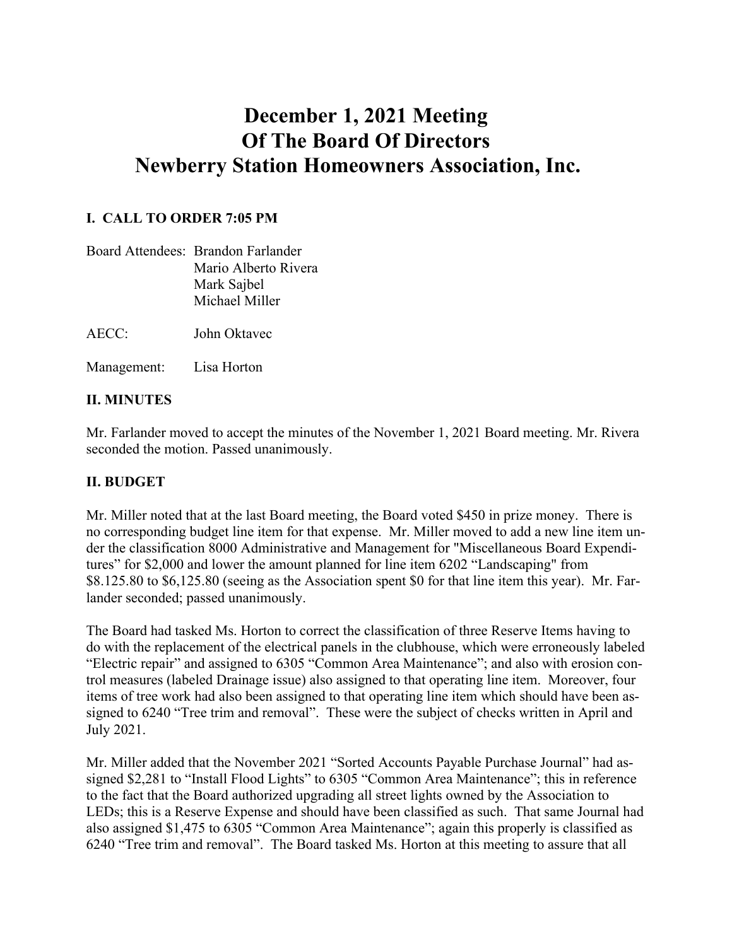# **December 1, 2021 Meeting Of The Board Of Directors Newberry Station Homeowners Association, Inc.**

### **I. CALL TO ORDER 7:05 PM**

|       | Board Attendees: Brandon Farlander |
|-------|------------------------------------|
|       | Mario Alberto Rivera               |
|       | Mark Sajbel                        |
|       | Michael Miller                     |
|       |                                    |
| AECC: | John Oktavec                       |

Management: Lisa Horton

#### **II. MINUTES**

Mr. Farlander moved to accept the minutes of the November 1, 2021 Board meeting. Mr. Rivera seconded the motion. Passed unanimously.

#### **II. BUDGET**

Mr. Miller noted that at the last Board meeting, the Board voted \$450 in prize money. There is no corresponding budget line item for that expense. Mr. Miller moved to add a new line item under the classification 8000 Administrative and Management for "Miscellaneous Board Expenditures" for \$2,000 and lower the amount planned for line item 6202 "Landscaping" from \$8.125.80 to \$6,125.80 (seeing as the Association spent \$0 for that line item this year). Mr. Farlander seconded; passed unanimously.

The Board had tasked Ms. Horton to correct the classification of three Reserve Items having to do with the replacement of the electrical panels in the clubhouse, which were erroneously labeled "Electric repair" and assigned to 6305 "Common Area Maintenance"; and also with erosion control measures (labeled Drainage issue) also assigned to that operating line item. Moreover, four items of tree work had also been assigned to that operating line item which should have been assigned to 6240 "Tree trim and removal". These were the subject of checks written in April and July 2021.

Mr. Miller added that the November 2021 "Sorted Accounts Payable Purchase Journal" had assigned \$2,281 to "Install Flood Lights" to 6305 "Common Area Maintenance"; this in reference to the fact that the Board authorized upgrading all street lights owned by the Association to LEDs; this is a Reserve Expense and should have been classified as such. That same Journal had also assigned \$1,475 to 6305 "Common Area Maintenance"; again this properly is classified as 6240 "Tree trim and removal". The Board tasked Ms. Horton at this meeting to assure that all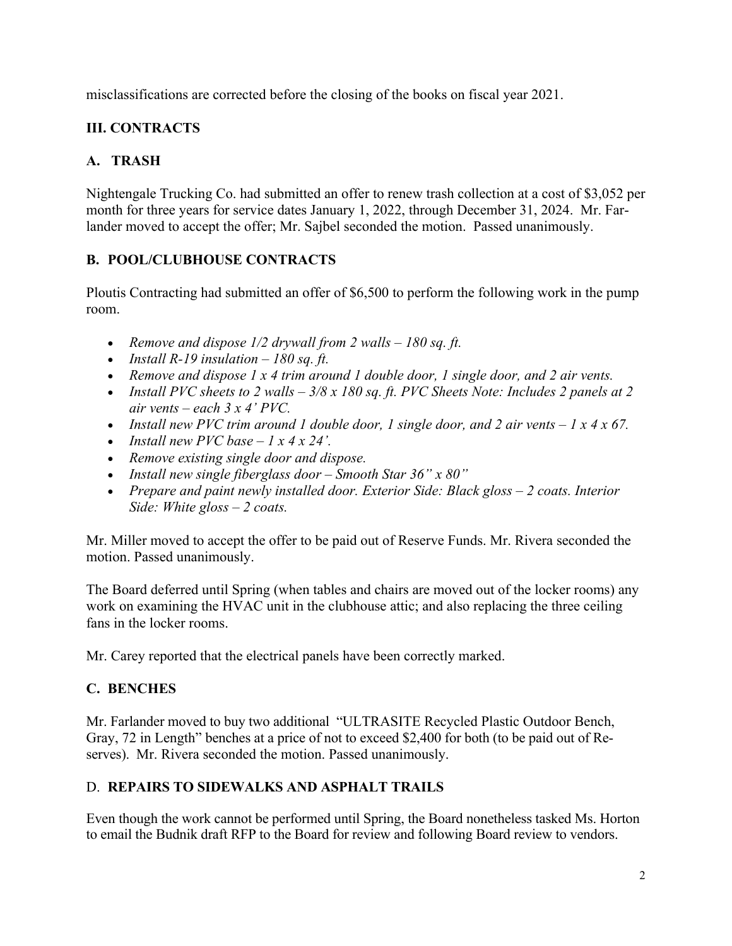misclassifications are corrected before the closing of the books on fiscal year 2021.

# **III. CONTRACTS**

# **A. TRASH**

Nightengale Trucking Co. had submitted an offer to renew trash collection at a cost of \$3,052 per month for three years for service dates January 1, 2022, through December 31, 2024. Mr. Farlander moved to accept the offer; Mr. Sajbel seconded the motion. Passed unanimously.

# **B. POOL/CLUBHOUSE CONTRACTS**

Ploutis Contracting had submitted an offer of \$6,500 to perform the following work in the pump room.

- *Remove and dispose 1/2 drywall from 2 walls – 180 sq. ft.*
- *Install R-19 insulation – 180 sq. ft.*
- *Remove and dispose 1 x 4 trim around 1 double door, 1 single door, and 2 air vents.*
- *Install PVC sheets to 2 walls – 3/8 x 180 sq. ft. PVC Sheets Note: Includes 2 panels at 2 air vents – each 3 x 4' PVC.*
- *Install new PVC trim around 1 double door, 1 single door, and 2 air vents 1 x 4 x 67.*
- *Install new PVC base – 1 x 4 x 24'.*
- *Remove existing single door and dispose.*
- *Install new single fiberglass door – Smooth Star 36" x 80"*
- *Prepare and paint newly installed door. Exterior Side: Black gloss – 2 coats. Interior Side: White gloss – 2 coats.*

Mr. Miller moved to accept the offer to be paid out of Reserve Funds. Mr. Rivera seconded the motion. Passed unanimously.

The Board deferred until Spring (when tables and chairs are moved out of the locker rooms) any work on examining the HVAC unit in the clubhouse attic; and also replacing the three ceiling fans in the locker rooms.

Mr. Carey reported that the electrical panels have been correctly marked.

## **C. BENCHES**

Mr. Farlander moved to buy two additional "ULTRASITE Recycled Plastic Outdoor Bench, Gray, 72 in Length" benches at a price of not to exceed \$2,400 for both (to be paid out of Reserves). Mr. Rivera seconded the motion. Passed unanimously.

## D. **REPAIRS TO SIDEWALKS AND ASPHALT TRAILS**

Even though the work cannot be performed until Spring, the Board nonetheless tasked Ms. Horton to email the Budnik draft RFP to the Board for review and following Board review to vendors.